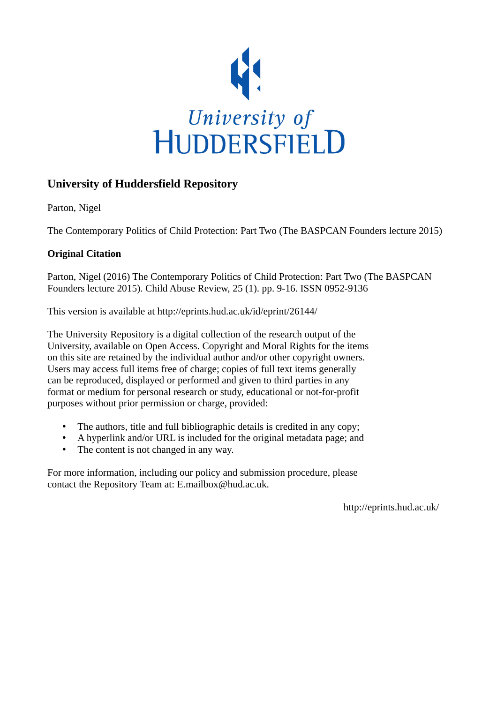

# **University of Huddersfield Repository**

Parton, Nigel

The Contemporary Politics of Child Protection: Part Two (The BASPCAN Founders lecture 2015)

### **Original Citation**

Parton, Nigel (2016) The Contemporary Politics of Child Protection: Part Two (The BASPCAN Founders lecture 2015). Child Abuse Review, 25 (1). pp. 9-16. ISSN 0952-9136

This version is available at http://eprints.hud.ac.uk/id/eprint/26144/

The University Repository is a digital collection of the research output of the University, available on Open Access. Copyright and Moral Rights for the items on this site are retained by the individual author and/or other copyright owners. Users may access full items free of charge; copies of full text items generally can be reproduced, displayed or performed and given to third parties in any format or medium for personal research or study, educational or not-for-profit purposes without prior permission or charge, provided:

- The authors, title and full bibliographic details is credited in any copy;
- A hyperlink and/or URL is included for the original metadata page; and
- The content is not changed in any way.

For more information, including our policy and submission procedure, please contact the Repository Team at: E.mailbox@hud.ac.uk.

http://eprints.hud.ac.uk/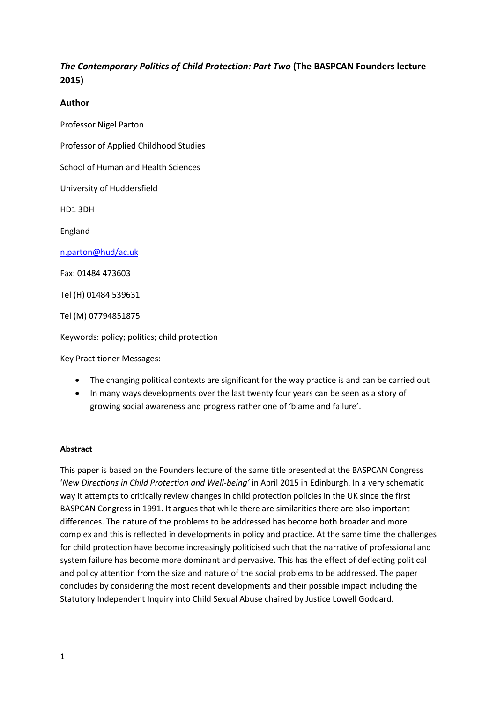## *The Contemporary Politics of Child Protection: Part Two* **(The BASPCAN Founders lecture 2015)**

#### **Author**

Professor Nigel Parton

Professor of Applied Childhood Studies

School of Human and Health Sciences

University of Huddersfield

HD1 3DH

England

[n.parton@hud/ac.uk](mailto:n.parton@hud/ac.uk)

Fax: 01484 473603

Tel (H) 01484 539631

Tel (M) 07794851875

Keywords: policy; politics; child protection

Key Practitioner Messages:

- The changing political contexts are significant for the way practice is and can be carried out
- In many ways developments over the last twenty four years can be seen as a story of growing social awareness and progress rather one of 'blame and failure'.

#### **Abstract**

This paper is based on the Founders lecture of the same title presented at the BASPCAN Congress '*New Directions in Child Protection and Well-being'* in April 2015 in Edinburgh. In a very schematic way it attempts to critically review changes in child protection policies in the UK since the first BASPCAN Congress in 1991. It argues that while there are similarities there are also important differences. The nature of the problems to be addressed has become both broader and more complex and this is reflected in developments in policy and practice. At the same time the challenges for child protection have become increasingly politicised such that the narrative of professional and system failure has become more dominant and pervasive. This has the effect of deflecting political and policy attention from the size and nature of the social problems to be addressed. The paper concludes by considering the most recent developments and their possible impact including the Statutory Independent Inquiry into Child Sexual Abuse chaired by Justice Lowell Goddard.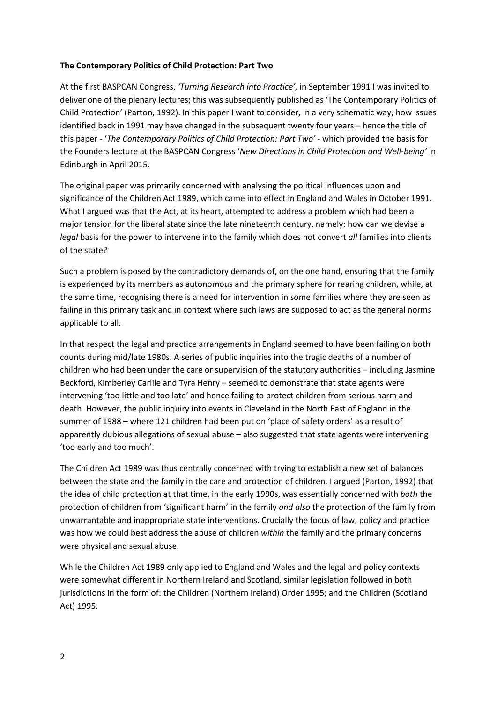#### **The Contemporary Politics of Child Protection: Part Two**

At the first BASPCAN Congress, *'Turning Research into Practice',* in September 1991 I was invited to deliver one of the plenary lectures; this was subsequently published as 'The Contemporary Politics of Child Protection' (Parton, 1992). In this paper I want to consider, in a very schematic way, how issues identified back in 1991 may have changed in the subsequent twenty four years – hence the title of this paper - '*The Contemporary Politics of Child Protection: Part Two'* - which provided the basis for the Founders lecture at the BASPCAN Congress '*New Directions in Child Protection and Well-being'* in Edinburgh in April 2015*.*

The original paper was primarily concerned with analysing the political influences upon and significance of the Children Act 1989, which came into effect in England and Wales in October 1991. What I argued was that the Act, at its heart, attempted to address a problem which had been a major tension for the liberal state since the late nineteenth century, namely: how can we devise a *legal* basis for the power to intervene into the family which does not convert *all* families into clients of the state?

Such a problem is posed by the contradictory demands of, on the one hand, ensuring that the family is experienced by its members as autonomous and the primary sphere for rearing children, while, at the same time, recognising there is a need for intervention in some families where they are seen as failing in this primary task and in context where such laws are supposed to act as the general norms applicable to all.

In that respect the legal and practice arrangements in England seemed to have been failing on both counts during mid/late 1980s. A series of public inquiries into the tragic deaths of a number of children who had been under the care or supervision of the statutory authorities – including Jasmine Beckford, Kimberley Carlile and Tyra Henry – seemed to demonstrate that state agents were intervening 'too little and too late' and hence failing to protect children from serious harm and death. However, the public inquiry into events in Cleveland in the North East of England in the summer of 1988 – where 121 children had been put on 'place of safety orders' as a result of apparently dubious allegations of sexual abuse – also suggested that state agents were intervening 'too early and too much'.

The Children Act 1989 was thus centrally concerned with trying to establish a new set of balances between the state and the family in the care and protection of children. I argued (Parton, 1992) that the idea of child protection at that time, in the early 1990s, was essentially concerned with *both* the protection of children from 'significant harm' in the family *and also* the protection of the family from unwarrantable and inappropriate state interventions. Crucially the focus of law, policy and practice was how we could best address the abuse of children *within* the family and the primary concerns were physical and sexual abuse.

While the Children Act 1989 only applied to England and Wales and the legal and policy contexts were somewhat different in Northern Ireland and Scotland, similar legislation followed in both jurisdictions in the form of: the Children (Northern Ireland) Order 1995; and the Children (Scotland Act) 1995.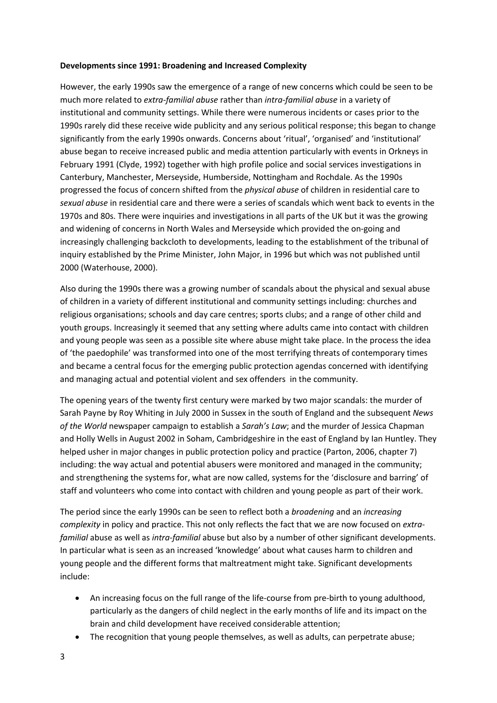#### **Developments since 1991: Broadening and Increased Complexity**

However, the early 1990s saw the emergence of a range of new concerns which could be seen to be much more related to *extra-familial abuse* rather than *intra-familial abuse* in a variety of institutional and community settings. While there were numerous incidents or cases prior to the 1990s rarely did these receive wide publicity and any serious political response; this began to change significantly from the early 1990s onwards. Concerns about 'ritual', 'organised' and 'institutional' abuse began to receive increased public and media attention particularly with events in Orkneys in February 1991 (Clyde, 1992) together with high profile police and social services investigations in Canterbury, Manchester, Merseyside, Humberside, Nottingham and Rochdale. As the 1990s progressed the focus of concern shifted from the *physical abuse* of children in residential care to *sexual abuse* in residential care and there were a series of scandals which went back to events in the 1970s and 80s. There were inquiries and investigations in all parts of the UK but it was the growing and widening of concerns in North Wales and Merseyside which provided the on-going and increasingly challenging backcloth to developments, leading to the establishment of the tribunal of inquiry established by the Prime Minister, John Major, in 1996 but which was not published until 2000 (Waterhouse, 2000).

Also during the 1990s there was a growing number of scandals about the physical and sexual abuse of children in a variety of different institutional and community settings including: churches and religious organisations; schools and day care centres; sports clubs; and a range of other child and youth groups. Increasingly it seemed that any setting where adults came into contact with children and young people was seen as a possible site where abuse might take place. In the process the idea of 'the paedophile' was transformed into one of the most terrifying threats of contemporary times and became a central focus for the emerging public protection agendas concerned with identifying and managing actual and potential violent and sex offenders in the community.

The opening years of the twenty first century were marked by two major scandals: the murder of Sarah Payne by Roy Whiting in July 2000 in Sussex in the south of England and the subsequent *News of the World* newspaper campaign to establish a *Sarah's Law*; and the murder of Jessica Chapman and Holly Wells in August 2002 in Soham, Cambridgeshire in the east of England by Ian Huntley. They helped usher in major changes in public protection policy and practice (Parton, 2006, chapter 7) including: the way actual and potential abusers were monitored and managed in the community; and strengthening the systems for, what are now called, systems for the 'disclosure and barring' of staff and volunteers who come into contact with children and young people as part of their work.

The period since the early 1990s can be seen to reflect both a *broadening* and an *increasing complexity* in policy and practice. This not only reflects the fact that we are now focused on *extrafamilial* abuse as well as *intra-familial* abuse but also by a number of other significant developments. In particular what is seen as an increased 'knowledge' about what causes harm to children and young people and the different forms that maltreatment might take. Significant developments include:

- An increasing focus on the full range of the life-course from pre-birth to young adulthood, particularly as the dangers of child neglect in the early months of life and its impact on the brain and child development have received considerable attention;
- The recognition that young people themselves, as well as adults, can perpetrate abuse;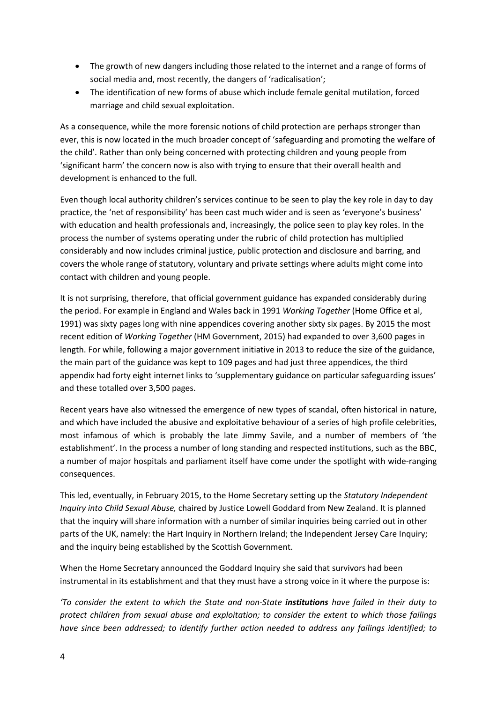- The growth of new dangers including those related to the internet and a range of forms of social media and, most recently, the dangers of 'radicalisation';
- The identification of new forms of abuse which include female genital mutilation, forced marriage and child sexual exploitation.

As a consequence, while the more forensic notions of child protection are perhaps stronger than ever, this is now located in the much broader concept of 'safeguarding and promoting the welfare of the child'. Rather than only being concerned with protecting children and young people from 'significant harm' the concern now is also with trying to ensure that their overall health and development is enhanced to the full.

Even though local authority children's services continue to be seen to play the key role in day to day practice, the 'net of responsibility' has been cast much wider and is seen as 'everyone's business' with education and health professionals and, increasingly, the police seen to play key roles. In the process the number of systems operating under the rubric of child protection has multiplied considerably and now includes criminal justice, public protection and disclosure and barring, and covers the whole range of statutory, voluntary and private settings where adults might come into contact with children and young people.

It is not surprising, therefore, that official government guidance has expanded considerably during the period. For example in England and Wales back in 1991 *Working Together* (Home Office et al, 1991) was sixty pages long with nine appendices covering another sixty six pages. By 2015 the most recent edition of *Working Together* (HM Government, 2015) had expanded to over 3,600 pages in length. For while, following a major government initiative in 2013 to reduce the size of the guidance, the main part of the guidance was kept to 109 pages and had just three appendices, the third appendix had forty eight internet links to 'supplementary guidance on particular safeguarding issues' and these totalled over 3,500 pages.

Recent years have also witnessed the emergence of new types of scandal, often historical in nature, and which have included the abusive and exploitative behaviour of a series of high profile celebrities, most infamous of which is probably the late Jimmy Savile, and a number of members of 'the establishment'. In the process a number of long standing and respected institutions, such as the BBC, a number of major hospitals and parliament itself have come under the spotlight with wide-ranging consequences.

This led, eventually, in February 2015, to the Home Secretary setting up the *Statutory Independent Inquiry into Child Sexual Abuse,* chaired by Justice Lowell Goddard from New Zealand. It is planned that the inquiry will share information with a number of similar inquiries being carried out in other parts of the UK, namely: the Hart Inquiry in Northern Ireland; the Independent Jersey Care Inquiry; and the inquiry being established by the Scottish Government.

When the Home Secretary announced the Goddard Inquiry she said that survivors had been instrumental in its establishment and that they must have a strong voice in it where the purpose is:

*'To consider the extent to which the State and non-State institutions have failed in their duty to protect children from sexual abuse and exploitation; to consider the extent to which those failings have since been addressed; to identify further action needed to address any failings identified; to*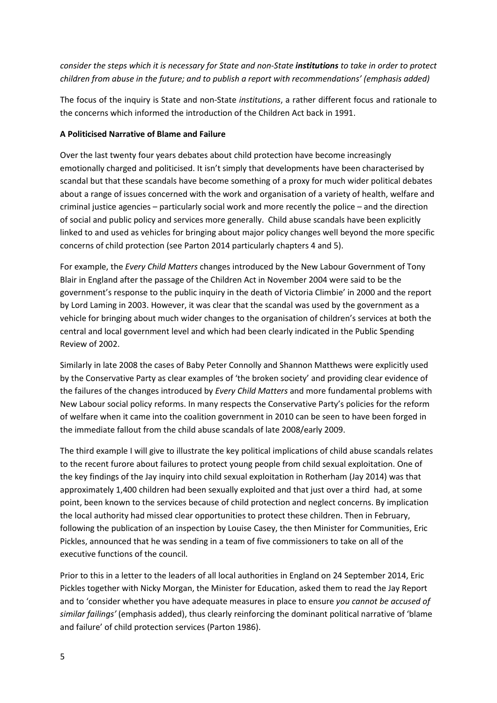*consider the steps which it is necessary for State and non-State institutions to take in order to protect children from abuse in the future; and to publish a report with recommendations' (emphasis added)*

The focus of the inquiry is State and non-State *institutions*, a rather different focus and rationale to the concerns which informed the introduction of the Children Act back in 1991.

#### **A Politicised Narrative of Blame and Failure**

Over the last twenty four years debates about child protection have become increasingly emotionally charged and politicised. It isn't simply that developments have been characterised by scandal but that these scandals have become something of a proxy for much wider political debates about a range of issues concerned with the work and organisation of a variety of health, welfare and criminal justice agencies – particularly social work and more recently the police – and the direction of social and public policy and services more generally. Child abuse scandals have been explicitly linked to and used as vehicles for bringing about major policy changes well beyond the more specific concerns of child protection (see Parton 2014 particularly chapters 4 and 5).

For example, the *Every Child Matters* changes introduced by the New Labour Government of Tony Blair in England after the passage of the Children Act in November 2004 were said to be the government's response to the public inquiry in the death of Victoria Climbie' in 2000 and the report by Lord Laming in 2003. However, it was clear that the scandal was used by the government as a vehicle for bringing about much wider changes to the organisation of children's services at both the central and local government level and which had been clearly indicated in the Public Spending Review of 2002.

Similarly in late 2008 the cases of Baby Peter Connolly and Shannon Matthews were explicitly used by the Conservative Party as clear examples of 'the broken society' and providing clear evidence of the failures of the changes introduced by *Every Child Matters* and more fundamental problems with New Labour social policy reforms. In many respects the Conservative Party's policies for the reform of welfare when it came into the coalition government in 2010 can be seen to have been forged in the immediate fallout from the child abuse scandals of late 2008/early 2009.

The third example I will give to illustrate the key political implications of child abuse scandals relates to the recent furore about failures to protect young people from child sexual exploitation. One of the key findings of the Jay inquiry into child sexual exploitation in Rotherham (Jay 2014) was that approximately 1,400 children had been sexually exploited and that just over a third had, at some point, been known to the services because of child protection and neglect concerns. By implication the local authority had missed clear opportunities to protect these children. Then in February, following the publication of an inspection by Louise Casey, the then Minister for Communities, Eric Pickles, announced that he was sending in a team of five commissioners to take on all of the executive functions of the council.

Prior to this in a letter to the leaders of all local authorities in England on 24 September 2014, Eric Pickles together with Nicky Morgan, the Minister for Education, asked them to read the Jay Report and to 'consider whether you have adequate measures in place to ensure *you cannot be accused of similar failings'* (emphasis added), thus clearly reinforcing the dominant political narrative of 'blame and failure' of child protection services (Parton 1986).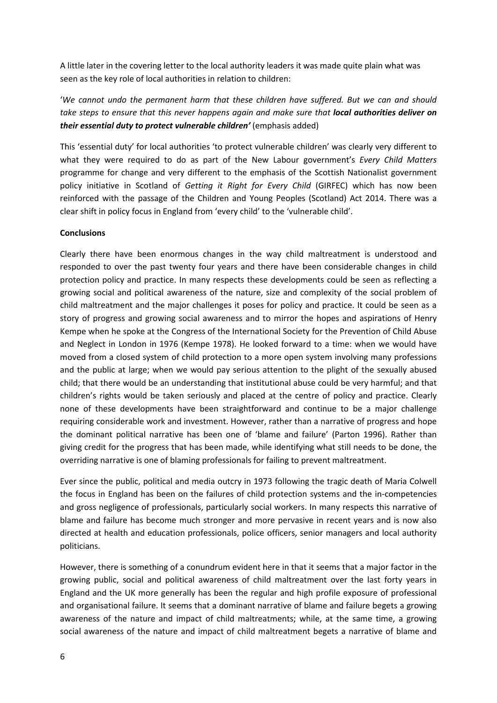A little later in the covering letter to the local authority leaders it was made quite plain what was seen as the key role of local authorities in relation to children:

'*We cannot undo the permanent harm that these children have suffered. But we can and should take steps to ensure that this never happens again and make sure that local authorities deliver on their essential duty to protect vulnerable children'* (emphasis added)

This 'essential duty' for local authorities 'to protect vulnerable children' was clearly very different to what they were required to do as part of the New Labour government's *Every Child Matters*  programme for change and very different to the emphasis of the Scottish Nationalist government policy initiative in Scotland of *Getting it Right for Every Child* (GIRFEC) which has now been reinforced with the passage of the Children and Young Peoples (Scotland) Act 2014. There was a clear shift in policy focus in England from 'every child' to the 'vulnerable child'.

#### **Conclusions**

Clearly there have been enormous changes in the way child maltreatment is understood and responded to over the past twenty four years and there have been considerable changes in child protection policy and practice. In many respects these developments could be seen as reflecting a growing social and political awareness of the nature, size and complexity of the social problem of child maltreatment and the major challenges it poses for policy and practice. It could be seen as a story of progress and growing social awareness and to mirror the hopes and aspirations of Henry Kempe when he spoke at the Congress of the International Society for the Prevention of Child Abuse and Neglect in London in 1976 (Kempe 1978). He looked forward to a time: when we would have moved from a closed system of child protection to a more open system involving many professions and the public at large; when we would pay serious attention to the plight of the sexually abused child; that there would be an understanding that institutional abuse could be very harmful; and that children's rights would be taken seriously and placed at the centre of policy and practice. Clearly none of these developments have been straightforward and continue to be a major challenge requiring considerable work and investment. However, rather than a narrative of progress and hope the dominant political narrative has been one of 'blame and failure' (Parton 1996). Rather than giving credit for the progress that has been made, while identifying what still needs to be done, the overriding narrative is one of blaming professionals for failing to prevent maltreatment.

Ever since the public, political and media outcry in 1973 following the tragic death of Maria Colwell the focus in England has been on the failures of child protection systems and the in-competencies and gross negligence of professionals, particularly social workers. In many respects this narrative of blame and failure has become much stronger and more pervasive in recent years and is now also directed at health and education professionals, police officers, senior managers and local authority politicians.

However, there is something of a conundrum evident here in that it seems that a major factor in the growing public, social and political awareness of child maltreatment over the last forty years in England and the UK more generally has been the regular and high profile exposure of professional and organisational failure. It seems that a dominant narrative of blame and failure begets a growing awareness of the nature and impact of child maltreatments; while, at the same time, a growing social awareness of the nature and impact of child maltreatment begets a narrative of blame and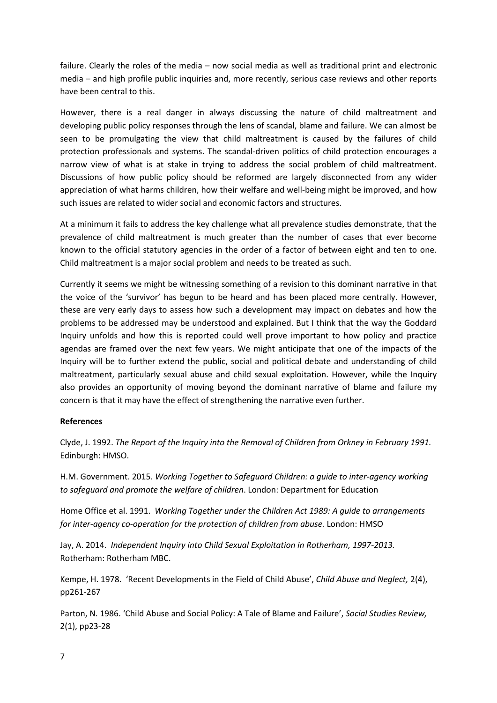failure. Clearly the roles of the media – now social media as well as traditional print and electronic media – and high profile public inquiries and, more recently, serious case reviews and other reports have been central to this.

However, there is a real danger in always discussing the nature of child maltreatment and developing public policy responses through the lens of scandal, blame and failure. We can almost be seen to be promulgating the view that child maltreatment is caused by the failures of child protection professionals and systems. The scandal-driven politics of child protection encourages a narrow view of what is at stake in trying to address the social problem of child maltreatment. Discussions of how public policy should be reformed are largely disconnected from any wider appreciation of what harms children, how their welfare and well-being might be improved, and how such issues are related to wider social and economic factors and structures.

At a minimum it fails to address the key challenge what all prevalence studies demonstrate, that the prevalence of child maltreatment is much greater than the number of cases that ever become known to the official statutory agencies in the order of a factor of between eight and ten to one. Child maltreatment is a major social problem and needs to be treated as such.

Currently it seems we might be witnessing something of a revision to this dominant narrative in that the voice of the 'survivor' has begun to be heard and has been placed more centrally. However, these are very early days to assess how such a development may impact on debates and how the problems to be addressed may be understood and explained. But I think that the way the Goddard Inquiry unfolds and how this is reported could well prove important to how policy and practice agendas are framed over the next few years. We might anticipate that one of the impacts of the Inquiry will be to further extend the public, social and political debate and understanding of child maltreatment, particularly sexual abuse and child sexual exploitation. However, while the Inquiry also provides an opportunity of moving beyond the dominant narrative of blame and failure my concern is that it may have the effect of strengthening the narrative even further.

#### **References**

Clyde, J. 1992. *The Report of the Inquiry into the Removal of Children from Orkney in February 1991.*  Edinburgh: HMSO.

H.M. Government. 2015. *Working Together to Safeguard Children: a guide to inter-agency working to safeguard and promote the welfare of children*. London: Department for Education

Home Office et al. 1991. *Working Together under the Children Act 1989: A guide to arrangements for inter-agency co-operation for the protection of children from abuse.* London: HMSO

Jay, A. 2014. *Independent Inquiry into Child Sexual Exploitation in Rotherham, 1997-2013.*  Rotherham: Rotherham MBC.

Kempe, H. 1978. 'Recent Developments in the Field of Child Abuse', *Child Abuse and Neglect,* 2(4), pp261-267

Parton, N. 1986. 'Child Abuse and Social Policy: A Tale of Blame and Failure', *Social Studies Review,*  2(1), pp23-28